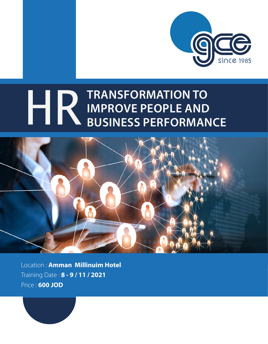

# **TRANSFORMATION TO IMPROVE PEOPLE AND<br>
IMPROVE PEOPLE AND<br>
BUSINESS PERFORMANCE**



Location : **Amman Millinuim Hotel** Training Date : **8 - 9 / 11 / 2021** Price : **600 JOD**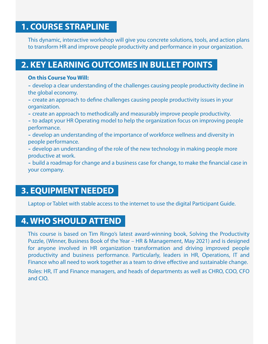### **1. COURSE STRAPLINE**

This dynamic, interactive workshop will give you concrete solutions, tools, and action plans to transform HR and improve people productivity and performance in your organization.

### **2. KEY LEARNING OUTCOMES IN BULLET POINTS**

#### **On this Course You Will:**

- develop a clear understanding of the challenges causing people productivity decline in the global economy.

- create an approach to define challenges causing people productivity issues in your organization.

- create an approach to methodically and measurably improve people productivity.
- to adapt your HR Operating model to help the organization focus on improving people performance.
- develop an understanding of the importance of workforce wellness and diversity in people performance.
- develop an understanding of the role of the new technology in making people more productive at work.
- build a roadmap for change and a business case for change, to make the financial case in your company.

### **3. EQUIPMENT NEEDED**

Laptop or Tablet with stable access to the internet to use the digital Participant Guide.

### **4. WHO SHOULD ATTEND**

This course is based on Tim Ringo's latest award-winning book, Solving the Productivity Puzzle, (Winner, Business Book of the Year – HR & Management, May 2021) and is designed for anyone involved in HR organization transformation and driving improved people productivity and business performance. Particularly, leaders in HR, Operations, IT and Finance who all need to work together as a team to drive effective and sustainable change.

Roles: HR, IT and Finance managers, and heads of departments as well as CHRO, COO, CFO and CIO.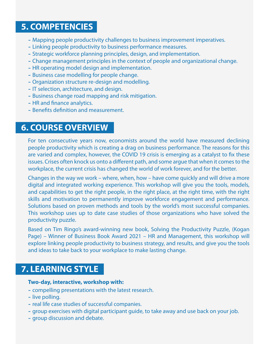### **5. COMPETENCIES**

- Mapping people productivity challenges to business improvement imperatives.
- Linking people productivity to business performance measures.
- Strategic workforce planning principles, design, and implementation.
- Change management principles in the context of people and organizational change.
- HR operating model design and implementation.
- Business case modelling for people change.
- Organization structure re-design and modelling.
- IT selection, architecture, and design.
- Business change road mapping and risk mitigation.
- HR and finance analytics.
- Benefits definition and measurement.

### **6. COURSE OVERVIEW**

For ten consecutive years now, economists around the world have measured declining people productivity which is creating a drag on business performance. The reasons for this are varied and complex, however, the COVID 19 crisis is emerging as a catalyst to fix these issues. Crises often knock us onto a different path, and some argue that when it comes to the workplace, the current crisis has changed the world of work forever, and for the better.

Changes in the way we work – where, when, how – have come quickly and will drive a more digital and integrated working experience. This workshop will give you the tools, models, and capabilities to get the right people, in the right place, at the right time, with the right skills and motivation to permanently improve workforce engagement and performance. Solutions based on proven methods and tools by the world's most successful companies. This workshop uses up to date case studies of those organizations who have solved the productivity puzzle.

Based on Tim Ringo's award-winning new book, Solving the Productivity Puzzle, (Kogan Page) – Winner of Business Book Award 2021 – HR and Management, this workshop will explore linking people productivity to business strategy, and results, and give you the tools and ideas to take back to your workplace to make lasting change.

### **7. LEARNING STYLE**

#### **Two-day, interactive, workshop with:**

- compelling presentations with the latest research.
- live polling.
- real life case studies of successful companies.
- group exercises with digital participant guide, to take away and use back on your job.
- group discussion and debate.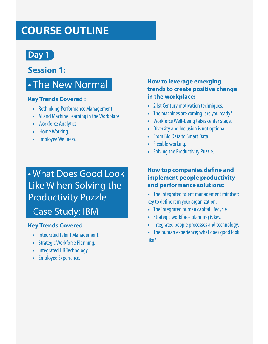# **COURSE OUTLINE**



### **Session 1:**

# • The New Normal

#### **Key Trends Covered :**

- Rethinking Performance Management.
- AI and Machine Learning in the Workplace.
- Workforce Analytics.
- Home Working.
- Employee Wellness.

# • What Does Good Look Like W hen Solving the Productivity Puzzle

### - Case Study: IBM

#### **Key Trends Covered :**

- Integrated Talent Management.
- Strategic Workforce Planning.
- Integrated HR Technology.
- Employee Experience.

#### **How to leverage emerging trends to create positive change in the workplace:**

- 21st Century motivation techniques.
- The machines are coming; are you ready?
- Workforce Well-being takes center stage.
- Diversity and Inclusion is not optional.
- From Big Data to Smart Data.
- Flexible working.
- Solving the Productivity Puzzle.

#### **How top companies define and implement people productivity and performance solutions:**

- The integrated talent management mindset: key to define it in your organization.
- The integrated human capital lifecycle .
- Strategic workforce planning is key.
- Integrated people processes and technology.
- The human experience; what does good look like?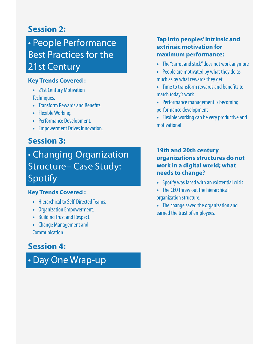### **Session 2:**

# • People Performance Best Practices for the 21st Century

#### **Key Trends Covered :**

- 21st Century Motivation Techniques.
- Transform Rewards and Benefits.
- Flexible Working.
- Performance Development.
- Empowerment Drives Innovation.

### **Session 3:**

# • Changing Organization Structure– Case Study: Spotify

### **Key Trends Covered :**

- Hierarchical to Self-Directed Teams.
- Organization Empowerment.
- Building Trust and Respect.
- Change Management and Communication.

### **Session 4:**

• Day One Wrap-up

### **Tap into peoples' intrinsic and extrinsic motivation for maximum performance:**

- The "carrot and stick" does not work anymore
- People are motivated by what they do as much as by what rewards they get
- Time to transform rewards and benefits to match today's work
- Performance management is becoming performance development
- Flexible working can be very productive and motivational

#### **19th and 20th century organizations structures do not work in a digital world; what needs to change?**

- Spotify was faced with an existential crisis.
- The CEO threw out the hierarchical organization structure.
- The change saved the organization and earned the trust of employees.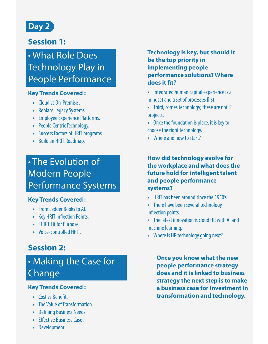

### **Session 1:**

# • What Role Does Technology Play in People Performance

#### **Key Trends Covered :**

- Cloud vs On-Premise .
- Replace Legacy Systems.
- Employee Experience Platforms.
- People Centric Technology.
- Success Factors of HRIT programs.
- Build an HRIT Roadmap.

# • The Evolution of Modern People Performance Systems

### **Key Trends Covered :**

- From Ledger Books to AI.
- Key HRIT Inflection Points.
- EHRIT Fit for Purpose.
- Voice-controlled HRIT.

### **Session 2:**

# • Making the Case for Change

### **Key Trends Covered :**

- Cost vs Benefit.
- The Value of Transformation.
- Defining Business Needs.
- Effective Business Case.
- Development.

#### **Technology is key, but should it be the top priority in implementing people performance solutions? Where**  does it fit?

- Integrated human capital experience is a mindset and a set of processes first.
- Third, comes technology; these are not IT projects.
- Once the foundation is place, it is key to choose the right technology.
- Where and how to start?

#### **How did technology evolve for the workplace and what does the future hold for intelligent talent and people performance systems?**

- HRIT has been around since the 1950's.
- There have been several technology inflection points.
- The latest innovation is cloud HR with AI and machine learning.
- Where is HR technology going next?.

**Once you know what the new people performance strategy does and it is linked to business strategy the next step is to make a business case for investment in transformation and technology.**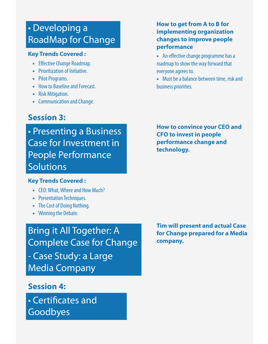# • Developing a RoadMap for Change

#### **Key Trends Covered :**

- Effective Change Roadmap.
- Prioritization of Initiative.
- Pilot Programs.
- How to Baseline and Forecast.
- Risk Mitigation.
- Communication and Change.

### **Session 3:**

• Presenting a Business Case for Investment in People Performance Solutions

#### **Key Trends Covered :**

- CEO: What, Where and How Much?
- Presentation Techniques.
- The Cost of Doing Nothing.
- Winning the Debate.

Bring it All Together: A Complete Case for Change - Case Study: a Large Media Company

### **Session 4:**

• Certificates and Goodbyes

### **How to get from A to B for implementing organization changes to improve people performance**

- An effective change programme has a roadmap to show the way forward that everyone agrees to.
- Must be a balance between time, risk and business priorities.

**How to convince your CEO and CFO to invest in people performance change and technology.**

**Tim will present and actual Case for Change prepared for a Media company.**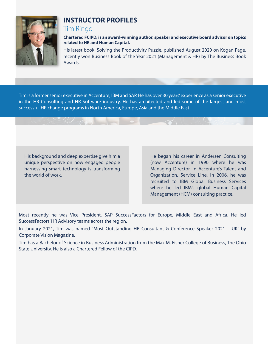

### **INSTRUCTOR PROFILES**

#### Tim Ringo

**Chartered FCIPD, is an award-winning author, speaker and executive board advisor on topics related to HR and Human Capital.** 

His latest book, Solving the Productivity Puzzle, published August 2020 on Kogan Page, recently won Business Book of the Year 2021 (Management & HR) by The Business Book Awards.

Tim is a former senior executive in Accenture, IBM and SAP. He has over 30 years' experience as a senior executive in the HR Consulting and HR Software industry. He has architected and led some of the largest and most successful HR change programs in North America, Europe, Asia and the Middle East.

His background and deep expertise give him a unique perspective on how engaged people harnessing smart technology is transforming the world of work.

He began his career in Andersen Consulting (now Accenture) in 1990 where he was Managing Director, in Accenture's Talent and Organization, Service Line. In 2006, he was recruited to IBM Global Business Services where he led IBM's global Human Capital Management (HCM) consulting practice.

Most recently he was Vice President, SAP SuccessFactors for Europe, Middle East and Africa. He led SuccessFactors' HR Advisory teams across the region.

In January 2021, Tim was named "Most Outstanding HR Consultant & Conference Speaker 2021 – UK" by Corporate Vision Magazine.

Tim has a Bachelor of Science in Business Administration from the Max M. Fisher College of Business, The Ohio State University. He is also a Chartered Fellow of the CIPD.